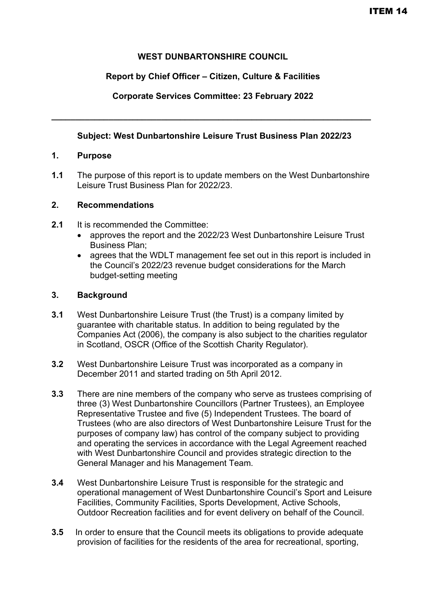# **WEST DUNBARTONSHIRE COUNCIL**

# **Report by Chief Officer – Citizen, Culture & Facilities**

# **Corporate Services Committee: 23 February 2022**

**\_\_\_\_\_\_\_\_\_\_\_\_\_\_\_\_\_\_\_\_\_\_\_\_\_\_\_\_\_\_\_\_\_\_\_\_\_\_\_\_\_\_\_\_\_\_\_\_\_\_\_\_\_\_\_\_\_\_\_\_\_\_\_\_\_\_\_** 

# **Subject: West Dunbartonshire Leisure Trust Business Plan 2022/23**

## **1. Purpose**

**1.1** The purpose of this report is to update members on the West Dunbartonshire Leisure Trust Business Plan for 2022/23.

## **2. Recommendations**

- **2.1** It is recommended the Committee:
	- approves the report and the 2022/23 West Dunbartonshire Leisure Trust Business Plan;
	- agrees that the WDLT management fee set out in this report is included in the Council's 2022/23 revenue budget considerations for the March budget-setting meeting

## **3. Background**

- **3.1** West Dunbartonshire Leisure Trust (the Trust) is a company limited by guarantee with charitable status. In addition to being regulated by the Companies Act (2006), the company is also subject to the charities regulator in Scotland, OSCR (Office of the Scottish Charity Regulator).
- **3.2** West Dunbartonshire Leisure Trust was incorporated as a company in December 2011 and started trading on 5th April 2012.
- **3.3** There are nine members of the company who serve as trustees comprising of three (3) West Dunbartonshire Councillors (Partner Trustees), an Employee Representative Trustee and five (5) Independent Trustees. The board of Trustees (who are also directors of West Dunbartonshire Leisure Trust for the purposes of company law) has control of the company subject to providing and operating the services in accordance with the Legal Agreement reached with West Dunbartonshire Council and provides strategic direction to the General Manager and his Management Team.
- **3.4** West Dunbartonshire Leisure Trust is responsible for the strategic and operational management of West Dunbartonshire Council's Sport and Leisure Facilities, Community Facilities, Sports Development, Active Schools, Outdoor Recreation facilities and for event delivery on behalf of the Council.
- **3.5** In order to ensure that the Council meets its obligations to provide adequate provision of facilities for the residents of the area for recreational, sporting,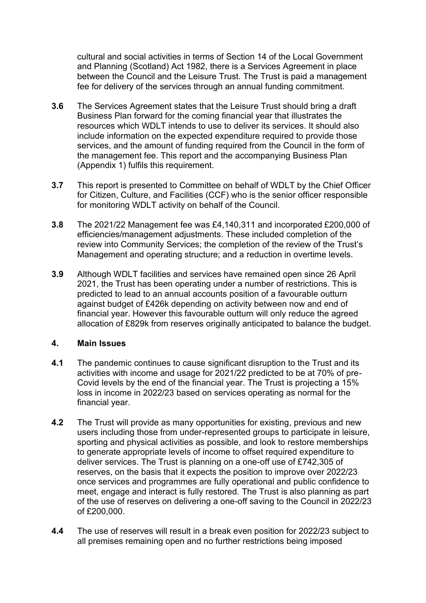cultural and social activities in terms of Section 14 of the Local Government and Planning (Scotland) Act 1982, there is a Services Agreement in place between the Council and the Leisure Trust. The Trust is paid a management fee for delivery of the services through an annual funding commitment.

- **3.6** The Services Agreement states that the Leisure Trust should bring a draft Business Plan forward for the coming financial year that illustrates the resources which WDLT intends to use to deliver its services. It should also include information on the expected expenditure required to provide those services, and the amount of funding required from the Council in the form of the management fee. This report and the accompanying Business Plan (Appendix 1) fulfils this requirement.
- **3.7** This report is presented to Committee on behalf of WDLT by the Chief Officer for Citizen, Culture, and Facilities (CCF) who is the senior officer responsible for monitoring WDLT activity on behalf of the Council.
- **3.8** The 2021/22 Management fee was £4,140,311 and incorporated £200,000 of efficiencies/management adjustments. These included completion of the review into Community Services; the completion of the review of the Trust's Management and operating structure; and a reduction in overtime levels.
- **3.9** Although WDLT facilities and services have remained open since 26 April 2021, the Trust has been operating under a number of restrictions. This is predicted to lead to an annual accounts position of a favourable outturn against budget of £426k depending on activity between now and end of financial year. However this favourable outturn will only reduce the agreed allocation of £829k from reserves originally anticipated to balance the budget.

### **4. Main Issues**

- **4.1** The pandemic continues to cause significant disruption to the Trust and its activities with income and usage for 2021/22 predicted to be at 70% of pre-Covid levels by the end of the financial year. The Trust is projecting a 15% loss in income in 2022/23 based on services operating as normal for the financial year.
- **4.2** The Trust will provide as many opportunities for existing, previous and new users including those from under-represented groups to participate in leisure, sporting and physical activities as possible, and look to restore memberships to generate appropriate levels of income to offset required expenditure to deliver services. The Trust is planning on a one-off use of £742,305 of reserves, on the basis that it expects the position to improve over 2022/23 once services and programmes are fully operational and public confidence to meet, engage and interact is fully restored. The Trust is also planning as part of the use of reserves on delivering a one-off saving to the Council in 2022/23 of £200,000.
- **4.4** The use of reserves will result in a break even position for 2022/23 subject to all premises remaining open and no further restrictions being imposed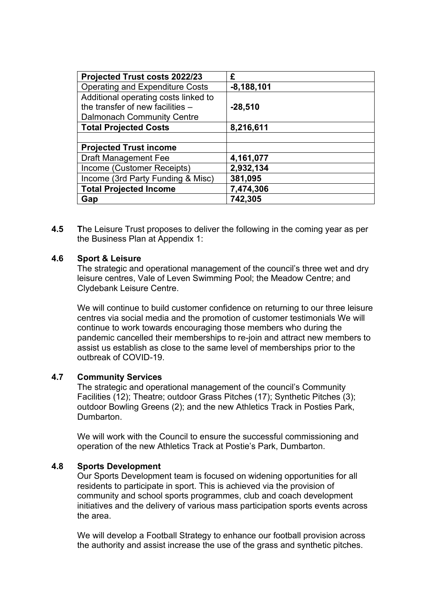| Projected Trust costs 2022/23          | £            |
|----------------------------------------|--------------|
| <b>Operating and Expenditure Costs</b> | $-8,188,101$ |
| Additional operating costs linked to   |              |
| the transfer of new facilities -       | $-28,510$    |
| <b>Dalmonach Community Centre</b>      |              |
| <b>Total Projected Costs</b>           | 8,216,611    |
|                                        |              |
| <b>Projected Trust income</b>          |              |
| <b>Draft Management Fee</b>            | 4,161,077    |
| Income (Customer Receipts)             | 2,932,134    |
| Income (3rd Party Funding & Misc)      | 381,095      |
| <b>Total Projected Income</b>          | 7,474,306    |
| Gap                                    | 742,305      |

**4.5 T**he Leisure Trust proposes to deliver the following in the coming year as per the Business Plan at Appendix 1:

#### **4.6 Sport & Leisure**

The strategic and operational management of the council's three wet and dry leisure centres, Vale of Leven Swimming Pool; the Meadow Centre; and Clydebank Leisure Centre.

We will continue to build customer confidence on returning to our three leisure centres via social media and the promotion of customer testimonials We will continue to work towards encouraging those members who during the pandemic cancelled their memberships to re-join and attract new members to assist us establish as close to the same level of memberships prior to the outbreak of COVID-19.

#### **4.7 Community Services**

The strategic and operational management of the council's Community Facilities (12); Theatre; outdoor Grass Pitches (17); Synthetic Pitches (3); outdoor Bowling Greens (2); and the new Athletics Track in Posties Park, Dumbarton.

We will work with the Council to ensure the successful commissioning and operation of the new Athletics Track at Postie's Park, Dumbarton.

#### **4.8 Sports Development**

Our Sports Development team is focused on widening opportunities for all residents to participate in sport. This is achieved via the provision of community and school sports programmes, club and coach development initiatives and the delivery of various mass participation sports events across the area.

We will develop a Football Strategy to enhance our football provision across the authority and assist increase the use of the grass and synthetic pitches.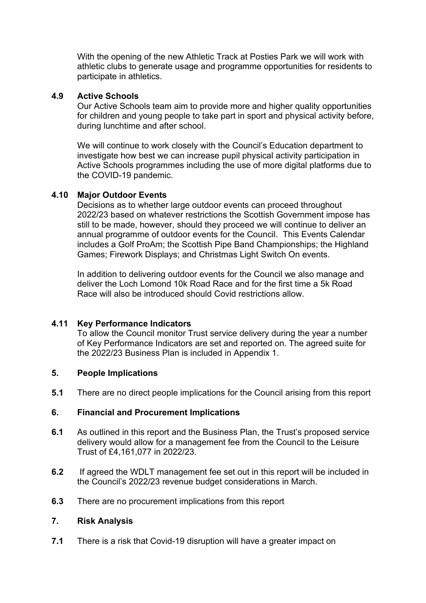With the opening of the new Athletic Track at Posties Park we will work with athletic clubs to generate usage and programme opportunities for residents to participate in athletics.

### **4.9 Active Schools**

Our Active Schools team aim to provide more and higher quality opportunities for children and young people to take part in sport and physical activity before, during lunchtime and after school.

We will continue to work closely with the Council's Education department to investigate how best we can increase pupil physical activity participation in Active Schools programmes including the use of more digital platforms due to the COVID-19 pandemic.

## **4.10 Major Outdoor Events**

Decisions as to whether large outdoor events can proceed throughout 2022/23 based on whatever restrictions the Scottish Government impose has still to be made, however, should they proceed we will continue to deliver an annual programme of outdoor events for the Council. This Events Calendar includes a Golf ProAm; the Scottish Pipe Band Championships; the Highland Games; Firework Displays; and Christmas Light Switch On events.

In addition to delivering outdoor events for the Council we also manage and deliver the Loch Lomond 10k Road Race and for the first time a 5k Road Race will also be introduced should Covid restrictions allow.

# **4.11 Key Performance Indicators**

To allow the Council monitor Trust service delivery during the year a number of Key Performance Indicators are set and reported on. The agreed suite for the 2022/23 Business Plan is included in Appendix 1.

### **5. People Implications**

**5.1** There are no direct people implications for the Council arising from this report

### **6. Financial and Procurement Implications**

- **6.1** As outlined in this report and the Business Plan, the Trust's proposed service delivery would allow for a management fee from the Council to the Leisure Trust of £4,161,077 in 2022/23.
- **6.2** If agreed the WDLT management fee set out in this report will be included in the Council's 2022/23 revenue budget considerations in March.
- **6.3** There are no procurement implications from this report

### **7. Risk Analysis**

**7.1** There is a risk that Covid-19 disruption will have a greater impact on